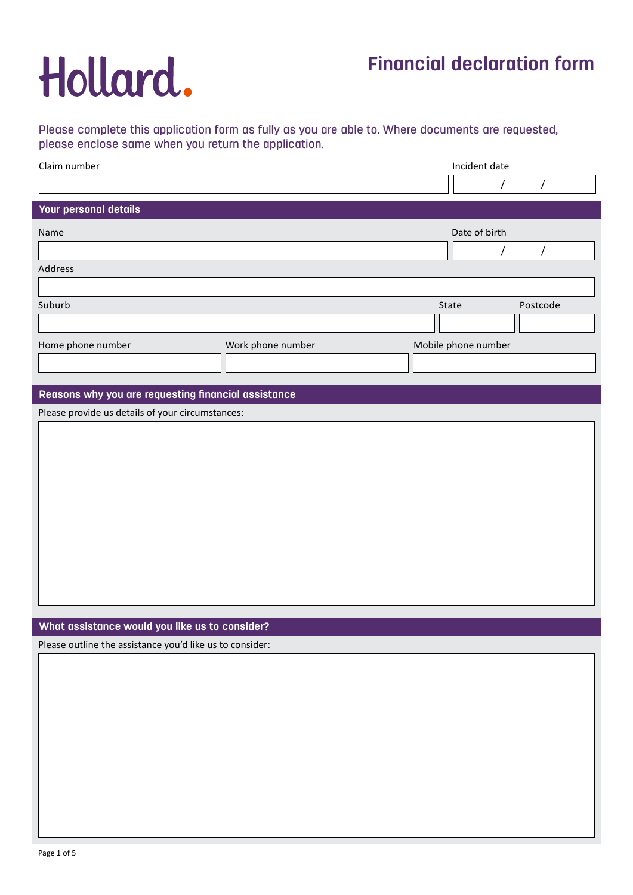## **Financial declaration form**

## Please complete this application form as fully as you are able to. Where documents are requested, please enclose same when you return the application.

| Claim number                 |                   | Incident date       |          |
|------------------------------|-------------------|---------------------|----------|
|                              |                   |                     |          |
| <b>Your personal details</b> |                   |                     |          |
| Name                         |                   | Date of birth       |          |
|                              |                   |                     |          |
| Address                      |                   |                     |          |
|                              |                   |                     |          |
| Suburb                       |                   | State               | Postcode |
|                              |                   |                     |          |
| Home phone number            | Work phone number | Mobile phone number |          |
|                              |                   |                     |          |
|                              |                   |                     |          |

## **Reasons why you are requesting financial assistance**

Please provide us details of your circumstances:

## **What assistance would you like us to consider?**

Please outline the assistance you'd like us to consider: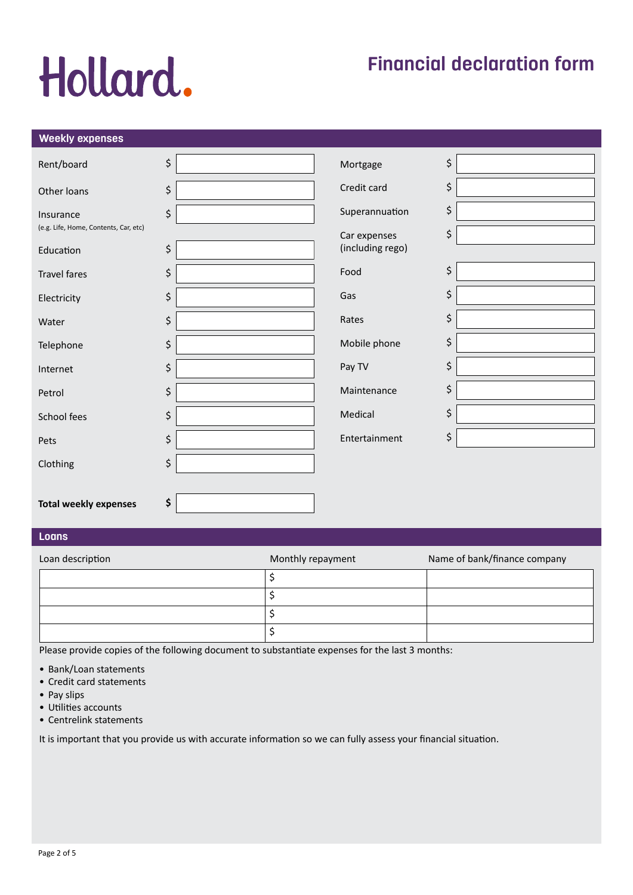## **Financial declaration form**

## **Weekly expenses**

| Rent/board                            | \$      | Mortgage         | \$ |
|---------------------------------------|---------|------------------|----|
| Other loans                           | \$      | Credit card      | \$ |
| Insurance                             | \$      | Superannuation   | \$ |
| (e.g. Life, Home, Contents, Car, etc) |         | Car expenses     | \$ |
| Education                             | \$      | (including rego) |    |
| <b>Travel fares</b>                   | \$      | Food             | \$ |
| Electricity                           | \$      | Gas              | \$ |
| Water                                 | \$      | Rates            | \$ |
| Telephone                             | $\zeta$ | Mobile phone     | \$ |
| Internet                              | \$      | Pay TV           | \$ |
| Petrol                                | \$      | Maintenance      | \$ |
| School fees                           | $\zeta$ | Medical          | \$ |
| Pets                                  | \$      | Entertainment    | \$ |
| Clothing                              | \$      |                  |    |
|                                       |         |                  |    |
| <b>Total weekly expenses</b>          | \$      |                  |    |

### **Loans**

| Loan description | Monthly repayment | Name of bank/finance company |
|------------------|-------------------|------------------------------|
|                  |                   |                              |
|                  |                   |                              |
|                  |                   |                              |
|                  |                   |                              |

Please provide copies of the following document to substantiate expenses for the last 3 months:

- Bank/Loan statements
- Credit card statements
- Pay slips
- Utilities accounts
- Centrelink statements

It is important that you provide us with accurate information so we can fully assess your financial situation.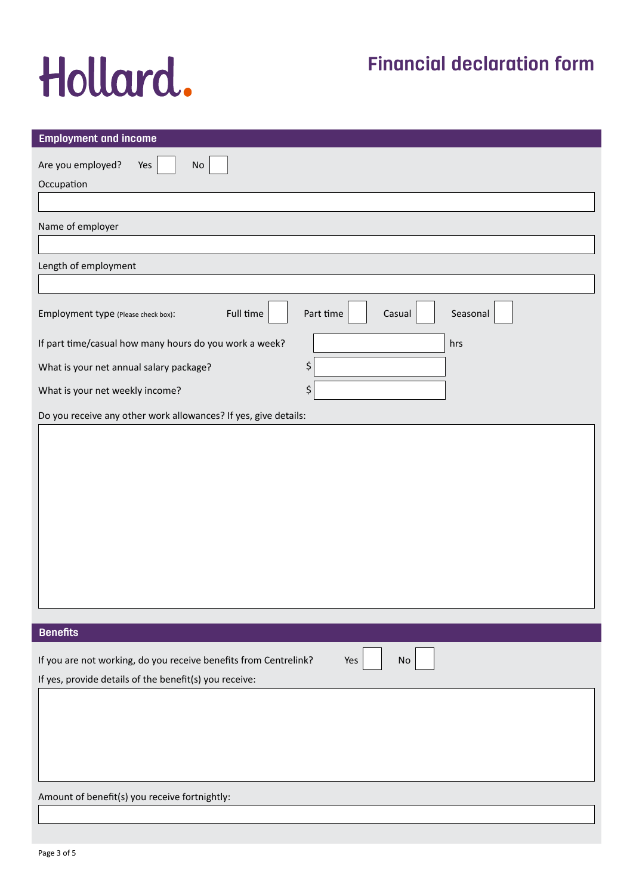## **Financial declaration form**

| <b>Employment and income</b>                                                                                               |                                 |
|----------------------------------------------------------------------------------------------------------------------------|---------------------------------|
| Are you employed?<br>$\mathsf{No}$<br>Yes                                                                                  |                                 |
| Occupation                                                                                                                 |                                 |
|                                                                                                                            |                                 |
| Name of employer                                                                                                           |                                 |
|                                                                                                                            |                                 |
| Length of employment                                                                                                       |                                 |
|                                                                                                                            |                                 |
| Full time<br>Employment type (Please check box):                                                                           | Part time<br>Seasonal<br>Casual |
| If part time/casual how many hours do you work a week?                                                                     | hrs                             |
| What is your net annual salary package?                                                                                    | \$                              |
| What is your net weekly income?                                                                                            | \$                              |
| Do you receive any other work allowances? If yes, give details:                                                            |                                 |
|                                                                                                                            |                                 |
| <b>Benefits</b>                                                                                                            |                                 |
| If you are not working, do you receive benefits from Centrelink?<br>If yes, provide details of the benefit(s) you receive: | Yes<br>$\mathsf{No}$            |
|                                                                                                                            |                                 |
| Amount of benefit(s) you receive fortnightly:                                                                              |                                 |
|                                                                                                                            |                                 |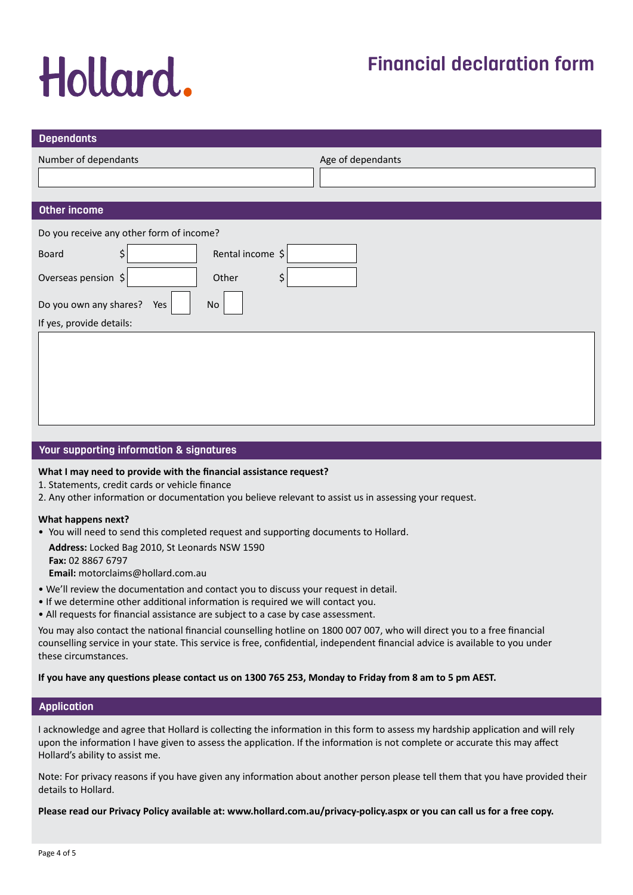## **Financial declaration form**

| <b>Dependants</b>                        |                   |
|------------------------------------------|-------------------|
| Number of dependants                     | Age of dependants |
|                                          |                   |
| Other income                             |                   |
| Do you receive any other form of income? |                   |
| Rental income \$<br>\$<br><b>Board</b>   |                   |
| Overseas pension \$<br>\$<br>Other       |                   |
| Do you own any shares?<br>Yes<br>No      |                   |
| If yes, provide details:                 |                   |
|                                          |                   |
|                                          |                   |
|                                          |                   |
|                                          |                   |
|                                          |                   |

### **Your supporting information & signatures**

### **What I may need to provide with the financial assistance request?**

- 1. Statements, credit cards or vehicle finance
- 2. Any other information or documentation you believe relevant to assist us in assessing your request.

#### **What happens next?**

• You will need to send this completed request and supporting documents to Hollard.

**Address:** Locked Bag 2010, St Leonards NSW 1590 **Fax:** 02 8867 6797 **Email:** motorclaims@hollard.com.au

- We'll review the documentation and contact you to discuss your request in detail.
- If we determine other additional information is required we will contact you.
- All requests for financial assistance are subject to a case by case assessment.

You may also contact the national financial counselling hotline on 1800 007 007, who will direct you to a free financial counselling service in your state. This service is free, confidential, independent financial advice is available to you under these circumstances.

**If you have any questions please contact us on 1300 765 253, Monday to Friday from 8 am to 5 pm AEST.**

### **Application**

I acknowledge and agree that Hollard is collecting the information in this form to assess my hardship application and will rely upon the information I have given to assess the application. If the information is not complete or accurate this may affect Hollard's ability to assist me.

Note: For privacy reasons if you have given any information about another person please tell them that you have provided their details to Hollard.

**Please read our Privacy Policy available at: www.hollard.com.au/privacy-policy.aspx or you can call us for a free copy.**